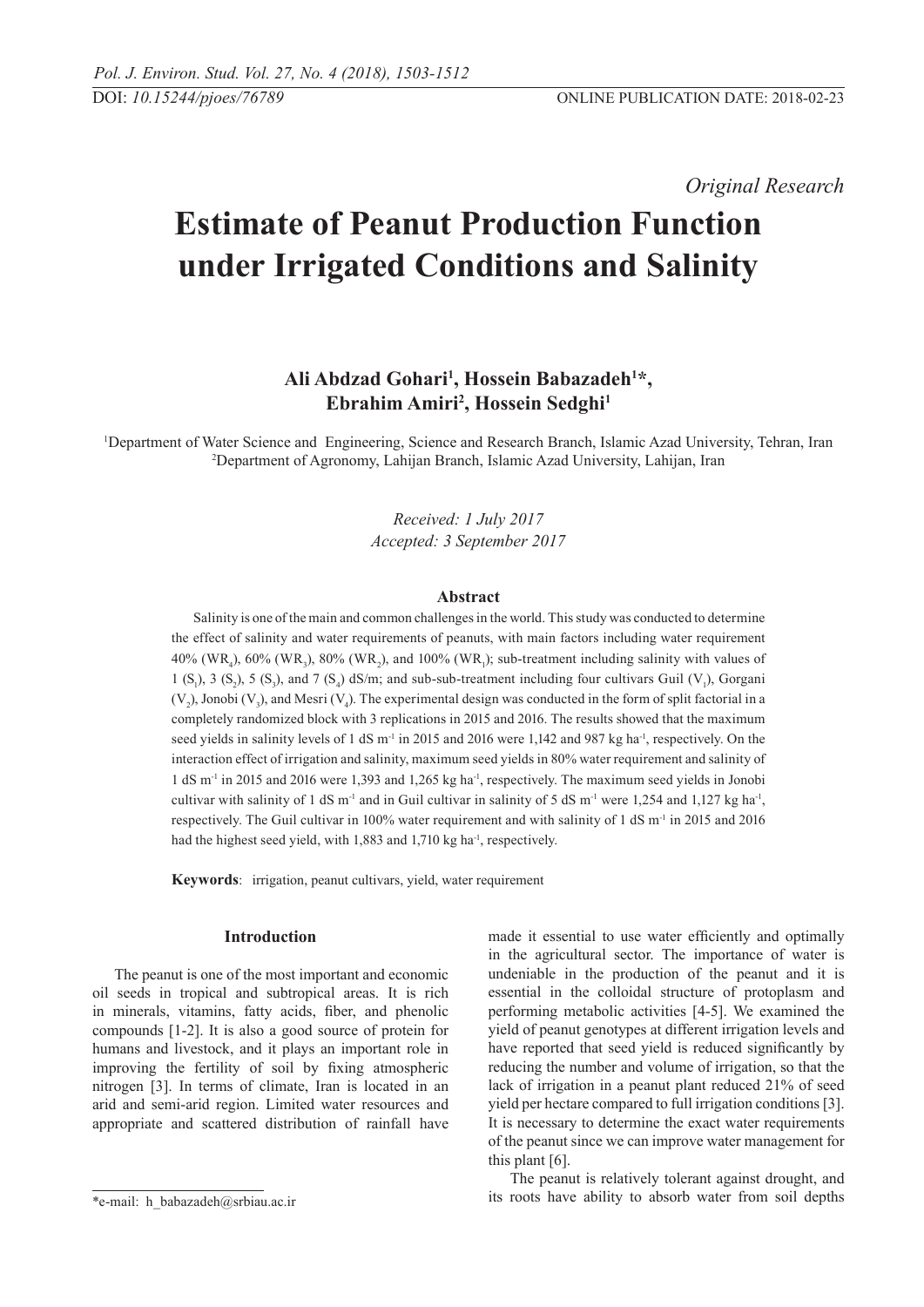*Original Research* 

# **Estimate of Peanut Production Function under Irrigated Conditions and Salinity**

# Ali Abdzad Gohari<sup>1</sup>, Hossein Babazadeh<sup>1\*</sup>, **Ebrahim Amiri2 , Hossein Sedghi1**

1 Department of Water Science and Engineering, Science and Research Branch, Islamic Azad University, Tehran, Iran 2 Department of Agronomy, Lahijan Branch, Islamic Azad University, Lahijan, Iran

> *Received: 1 July 2017 Accepted: 3 September 2017*

#### **Abstract**

Salinity is one of the main and common challenges in the world. This study was conducted to determine the effect of salinity and water requirements of peanuts, with main factors including water requirement 40% (WR<sub>4</sub>), 60% (WR<sub>3</sub>), 80% (WR<sub>2</sub>), and 100% (WR<sub>1</sub>); sub-treatment including salinity with values of 1 (S<sub>1</sub>), 3 (S<sub>2</sub>), 5 (S<sub>3</sub>), and 7 (S<sub>4</sub>) dS/m; and sub-sub-treatment including four cultivars Guil (V<sub>1</sub>), Gorgani  $(V_2)$ , Jonobi  $(V_3)$ , and Mesri  $(V_4)$ . The experimental design was conducted in the form of split factorial in a completely randomized block with 3 replications in 2015 and 2016. The results showed that the maximum seed yields in salinity levels of 1 dS m<sup>-1</sup> in 2015 and 2016 were 1,142 and 987 kg ha<sup>-1</sup>, respectively. On the interaction effect of irrigation and salinity, maximum seed yields in 80% water requirement and salinity of 1 dS m-1 in 2015 and 2016 were 1,393 and 1,265 kg ha-1, respectively. The maximum seed yields in Jonobi cultivar with salinity of 1 dS m<sup>-1</sup> and in Guil cultivar in salinity of 5 dS m<sup>-1</sup> were 1,254 and 1,127 kg ha<sup>-1</sup>, respectively. The Guil cultivar in 100% water requirement and with salinity of 1 dS m<sup>-1</sup> in 2015 and 2016 had the highest seed yield, with 1,883 and 1,710 kg ha<sup>-1</sup>, respectively.

**Keywords**: irrigation, peanut cultivars, yield, water requirement

#### **Introduction**

The peanut is one of the most important and economic oil seeds in tropical and subtropical areas. It is rich in minerals, vitamins, fatty acids, fiber, and phenolic compounds [1-2]. It is also a good source of protein for humans and livestock, and it plays an important role in improving the fertility of soil by fixing atmospheric nitrogen [3]. In terms of climate, Iran is located in an arid and semi-arid region. Limited water resources and appropriate and scattered distribution of rainfall have

made it essential to use water efficiently and optimally in the agricultural sector. The importance of water is undeniable in the production of the peanut and it is essential in the colloidal structure of protoplasm and performing metabolic activities [4-5]. We examined the yield of peanut genotypes at different irrigation levels and have reported that seed yield is reduced significantly by reducing the number and volume of irrigation, so that the lack of irrigation in a peanut plant reduced 21% of seed yield per hectare compared to full irrigation conditions [3]. It is necessary to determine the exact water requirements of the peanut since we can improve water management for this plant [6].

The peanut is relatively tolerant against drought, and its roots have ability to absorb water from soil depths

<sup>\*</sup>e-mail: h\_babazadeh@srbiau.ac.ir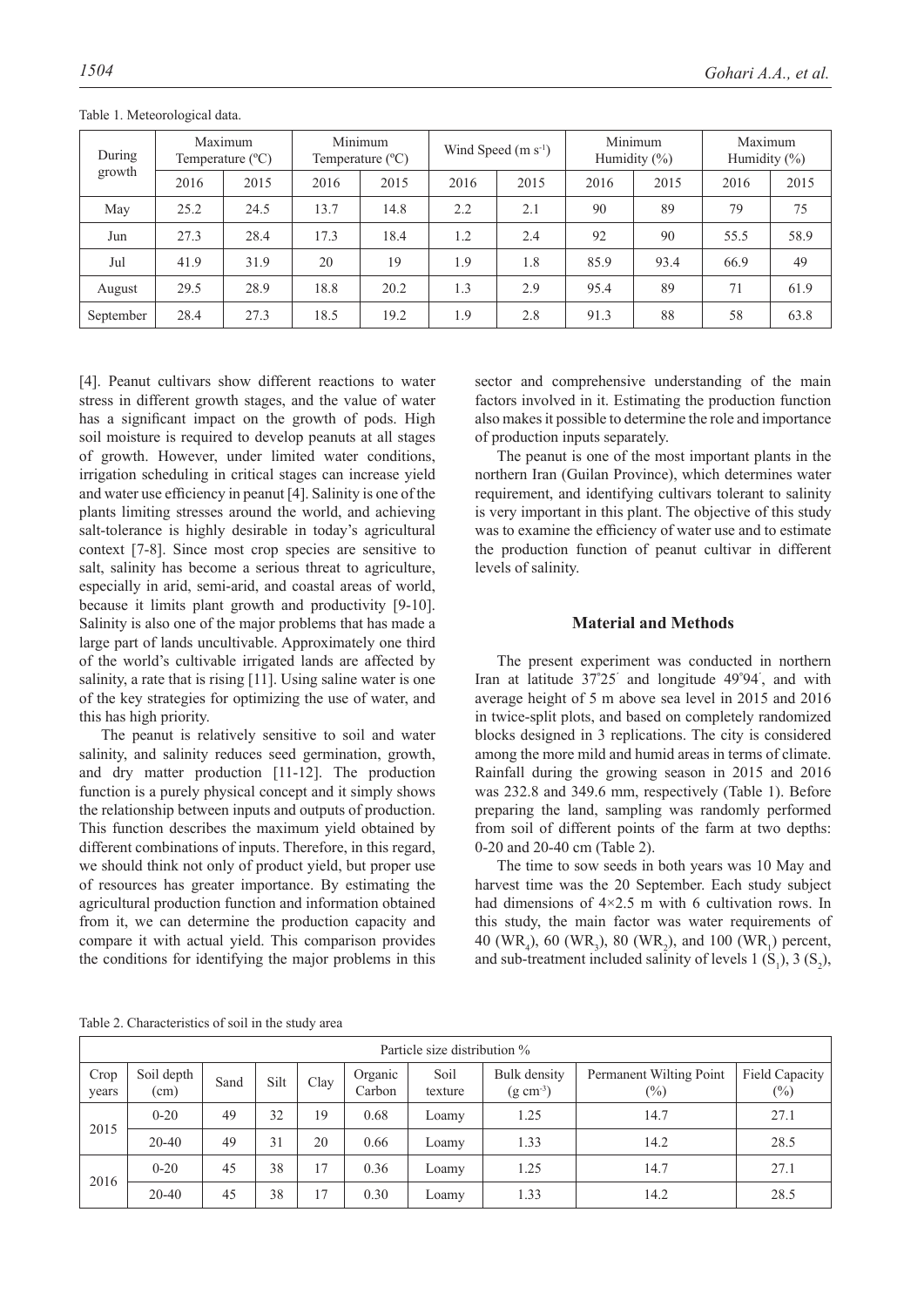| During    |      | Maximum<br>Temperature $(^{\circ}C)$ |      | Minimum<br>Temperature $(^{\circ}C)$ |      | Wind Speed $(m s-1)$ |      | Minimum<br>Humidity $(\% )$ | Maximum<br>Humidity $(\%)$ |      |
|-----------|------|--------------------------------------|------|--------------------------------------|------|----------------------|------|-----------------------------|----------------------------|------|
| growth    | 2016 | 2015                                 | 2016 | 2015                                 | 2016 | 2015                 | 2016 | 2015                        | 2016                       | 2015 |
| May       | 25.2 | 24.5                                 | 13.7 | 14.8                                 | 2.2  | 2.1                  | 90   | 89                          | 79                         | 75   |
| Jun       | 27.3 | 28.4                                 | 17.3 | 18.4                                 | 1.2  | 2.4                  | 92   | 90                          | 55.5                       | 58.9 |
| Jul       | 41.9 | 31.9                                 | 20   | 19                                   | 1.9  | 1.8                  | 85.9 | 93.4                        | 66.9                       | 49   |
| August    | 29.5 | 28.9                                 | 18.8 | 20.2                                 | 1.3  | 2.9                  | 95.4 | 89                          | 71                         | 61.9 |
| September | 28.4 | 27.3                                 | 18.5 | 19.2                                 | 1.9  | 2.8                  | 91.3 | 88                          | 58                         | 63.8 |

Table 1. Meteorological data.

[4]. Peanut cultivars show different reactions to water stress in different growth stages, and the value of water has a significant impact on the growth of pods. High soil moisture is required to develop peanuts at all stages of growth. However, under limited water conditions, irrigation scheduling in critical stages can increase yield and water use efficiency in peanut [4]. Salinity is one of the plants limiting stresses around the world, and achieving salt-tolerance is highly desirable in today's agricultural context [7-8]. Since most crop species are sensitive to salt, salinity has become a serious threat to agriculture, especially in arid, semi-arid, and coastal areas of world, because it limits plant growth and productivity [9-10]. Salinity is also one of the major problems that has made a large part of lands uncultivable. Approximately one third of the world's cultivable irrigated lands are affected by salinity, a rate that is rising [11]. Using saline water is one of the key strategies for optimizing the use of water, and this has high priority.

The peanut is relatively sensitive to soil and water salinity, and salinity reduces seed germination, growth, and dry matter production [11-12]. The production function is a purely physical concept and it simply shows the relationship between inputs and outputs of production. This function describes the maximum yield obtained by different combinations of inputs. Therefore, in this regard, we should think not only of product yield, but proper use of resources has greater importance. By estimating the agricultural production function and information obtained from it, we can determine the production capacity and compare it with actual yield. This comparison provides the conditions for identifying the major problems in this

sector and comprehensive understanding of the main factors involved in it. Estimating the production function also makes it possible to determine the role and importance of production inputs separately.

The peanut is one of the most important plants in the northern Iran (Guilan Province), which determines water requirement, and identifying cultivars tolerant to salinity is very important in this plant. The objective of this study was to examine the efficiency of water use and to estimate the production function of peanut cultivar in different levels of salinity.

# **Material and Methods**

The present experiment was conducted in northern Iran at latitude 37**°** 25**´** and longitude 49**°** 94**´** , and with average height of 5 m above sea level in 2015 and 2016 in twice-split plots, and based on completely randomized blocks designed in 3 replications. The city is considered among the more mild and humid areas in terms of climate. Rainfall during the growing season in 2015 and 2016 was 232.8 and 349.6 mm, respectively (Table 1). Before preparing the land, sampling was randomly performed from soil of different points of the farm at two depths: 0-20 and 20-40 cm (Table 2).

The time to sow seeds in both years was 10 May and harvest time was the 20 September. Each study subject had dimensions of  $4\times2.5$  m with 6 cultivation rows. In this study, the main factor was water requirements of 40 (WR<sub>4</sub>), 60 (WR<sub>3</sub>), 80 (WR<sub>2</sub>), and 100 (WR<sub>1</sub>) percent, and sub-treatment included salinity of levels 1  $(S_1)$ , 3  $(S_2)$ ,

Table 2. Characteristics of soil in the study area

|               | Particle size distribution % |      |      |      |                   |                 |                                    |                                   |                          |  |  |
|---------------|------------------------------|------|------|------|-------------------|-----------------|------------------------------------|-----------------------------------|--------------------------|--|--|
| Crop<br>years | Soil depth<br>(cm)           | Sand | Silt | Clay | Organic<br>Carbon | Soil<br>texture | Bulk density<br>$(g \text{ cm}^3)$ | Permanent Wilting Point<br>$(\%)$ | Field Capacity<br>$(\%)$ |  |  |
| 2015          | $0 - 20$                     | 49   | 32   | 19   | 0.68              | Loamy           | 1.25                               | 14.7                              | 27.1                     |  |  |
|               | $20 - 40$                    | 49   | 31   | 20   | 0.66              | Loamy           | 1.33                               | 14.2                              | 28.5                     |  |  |
| 2016          | $0 - 20$                     | 45   | 38   | 17   | 0.36              | Loamy           | 1.25                               | 14.7                              | 27.1                     |  |  |
|               | 20-40                        | 45   | 38   | 17   | 0.30              | Loamy           | 1.33                               | 14.2                              | 28.5                     |  |  |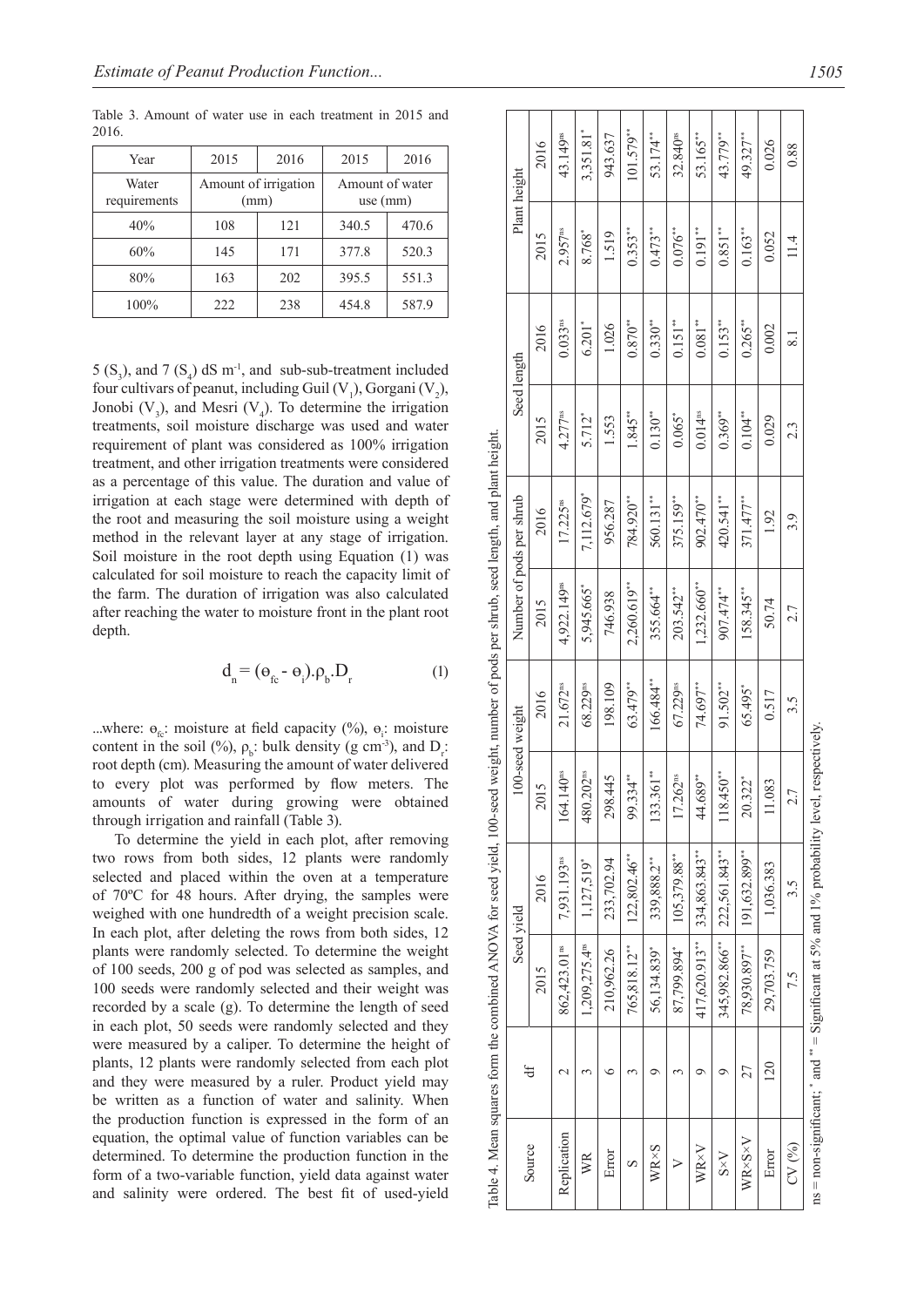| Year                  | 2015                 | 2016 | 2015                          | 2016  |
|-----------------------|----------------------|------|-------------------------------|-------|
| Water<br>requirements | Amount of irrigation | (mm) | Amount of water<br>use $(mm)$ |       |
| 40%                   | 108                  | 121  | 340.5                         | 470.6 |
| 60%                   | 145                  | 171  | 377.8                         | 520.3 |
| 80%                   | 163                  | 202  | 395.5                         | 551.3 |
| 100%                  | 222                  | 238  | 454.8                         | 587.9 |

Table 3. Amount of water use in each treatment in 2015 and 2016.

5  $(S_3)$ , and 7  $(S_4)$  dS m<sup>-1</sup>, and sub-sub-treatment included four cultivars of peanut, including Guil  $(V_1)$ , Gorgani  $(V_2)$ , Jonobi  $(V_3)$ , and Mesri  $(V_4)$ . To determine the irrigation treatments, soil moisture discharge was used and water requirement of plant was considered as 100% irrigation treatment, and other irrigation treatments were considered as a percentage of this value. The duration and value of irrigation at each stage were determined with depth of the root and measuring the soil moisture using a weight method in the relevant layer at any stage of irrigation. Soil moisture in the root depth using Equation (1) was calculated for soil moisture to reach the capacity limit of the farm. The duration of irrigation was also calculated after reaching the water to moisture front in the plant root depth.

$$
\mathbf{d}_{n} = (\mathbf{\Theta}_{\mathrm{fc}} - \mathbf{\Theta}_{\mathrm{i}}).\mathbf{\rho}_{\mathrm{b}}.\mathbf{D}_{\mathrm{r}} \tag{1}
$$

...where:  $\Theta_{fc}$ : moisture at field capacity (%),  $\Theta_i$ : moisture content in the soil (%),  $\rho_b$ : bulk density (g cm<sup>-3</sup>), and D<sub>r</sub>: root depth (cm). Measuring the amount of water delivered to every plot was performed by flow meters. The amounts of water during growing were obtained through irrigation and rainfall (Table 3).

To determine the yield in each plot, after removing two rows from both sides, 12 plants were randomly selected and placed within the oven at a temperature of 70ºC for 48 hours. After drying, the samples were weighed with one hundredth of a weight precision scale. In each plot, after deleting the rows from both sides, 12 plants were randomly selected. To determine the weight of 100 seeds, 200 g of pod was selected as samples, and 100 seeds were randomly selected and their weight was recorded by a scale (g). To determine the length of seed in each plot, 50 seeds were randomly selected and they were measured by a caliper. To determine the height of plants, 12 plants were randomly selected from each plot and they were measured by a ruler. Product yield may be written as a function of water and salinity. When the production function is expressed in the form of an equation, the optimal value of function variables can be determined. To determine the production function in the form of a two-variable function, yield data against water and salinity were ordered. The best fit of used-yield

|              |                    |                           | Table 4. Mean squares form the combined ANOVA for seed yield, 100-seed weight, number of pods per shrub, seed length, and plant height. |                           |                        |                          |                      |                       |                          |                     |                      |
|--------------|--------------------|---------------------------|-----------------------------------------------------------------------------------------------------------------------------------------|---------------------------|------------------------|--------------------------|----------------------|-----------------------|--------------------------|---------------------|----------------------|
|              | đ                  |                           | Seed vield                                                                                                                              | 100-seed weight           |                        | Number of pods per shrub |                      | Seed length           |                          | Plant height        |                      |
| Source       |                    | 2015                      | 2016                                                                                                                                    | 2015                      | 2016                   | 2015                     | 2016                 | 2015                  | 2016                     | 2015                | 2016                 |
| Replication  | $\scriptstyle\sim$ | 862,423.01 <sup>ns</sup>  | 7,931.193ns                                                                                                                             | 164.140 <sup>ps</sup>     | $21.672$ <sup>ns</sup> | 4,922.149ns              | 17.225 <sup>ns</sup> | $4.277$ <sup>ns</sup> | $0.033$ <sup>ns</sup>    | 2.957 <sup>ns</sup> | 43.149 <sup>ns</sup> |
| WR           |                    | 1,209,275.4 <sup>ns</sup> | 1,127,519*                                                                                                                              | .202 <sup>ns</sup><br>480 | 68.229 <sup>ms</sup>   | 5,945.665*               | 7,112.679*           | 5.712*                | $6.201*$                 | 8.768*              | 3,351.81*            |
| Error        | ≌                  | 210,962.26                | 233,702.94                                                                                                                              | 298.445                   | 198.109                | 746.938                  | 956.287              | 1.553                 | 1.026                    | 1.519               | 943.637              |
| S            |                    | 765,818.12***             | $122,802.46$ **                                                                                                                         | 99.334***                 | 63.479**               | 2,260.619***             | 784.920**            | $1.845***$            | $0.870***$               | $0.353***$          | $101.579***$         |
| $WR\times S$ | σ                  | 56,134.839*               | 339,888.2***                                                                                                                            | $.361**$<br>133           | 166.484**              | 355.664**                | 560.131**            | $0.130***$            | $0.330***$               | $0.473***$          | 53.174**             |
| >            |                    | 87,799.894*               | 105,379.88**                                                                                                                            | 17.262 <sup>ms</sup>      | 67.229ms               | $203.542***$             | 375.159**            | $0.065*$              | $0.151**$                | $0.076***$          | 32.840 <sup>ns</sup> |
| WR×V         | σ                  | 417,620.913**             | $ 334,863.843***$                                                                                                                       | 44.689***                 | 74.697**               | 1,232.660**              | 902.470**            | 0.014 <sup>ns</sup>   | $0.081***$               | $0.191***$          | 53.165***            |
| $S \times V$ | σ                  | 345,982.866*              | 222,561.843**                                                                                                                           | $450**$<br>118            | 91.502**               | 907.474***               | 420.541**            | $0.369***$            | $0.153***$               | $0.851**$           | 43.779**             |
| WR×S×V       | 27                 | 78,930.897***             | 191,632.899***                                                                                                                          | 20.322*                   | 65.495*                | $158.345***$             | 371.477**            | $0.104***$            | $0.265***$               | $0.163**$           | 49.327**             |
| Error        | 120                | 29,703.759                | 1,036.383                                                                                                                               | 11.083                    | 0.517                  | 50.74                    | 1.92                 | 0.029                 | 0.002                    | 0.052               | 0.026                |
| CV(%)        |                    | 7.5                       | 3.5                                                                                                                                     | 2.7                       | 3.5                    | 2.7                      | 3.9                  | 23                    | $\overline{\phantom{0}}$ | 11.4                | 0.88                 |
|              |                    |                           | $ns = non-significant$ , $*$ and $*^* =$ Significant at 5% and 1% probability level, respectively                                       |                           |                        |                          |                      |                       |                          |                     |                      |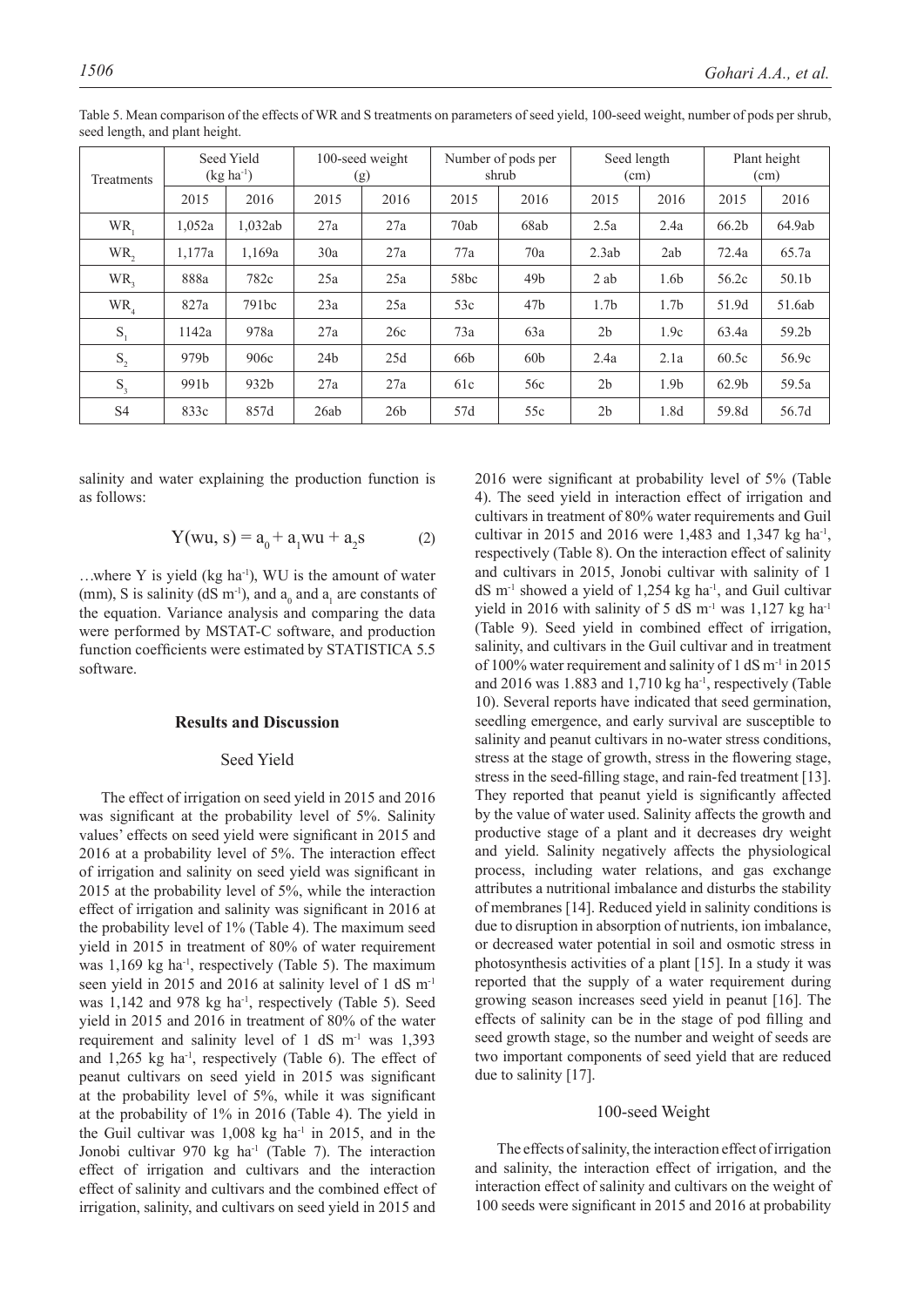| Treatments |                  | Seed Yield<br>$(kg ha^{-1})$ |                 | 100-seed weight<br>(g) |      | Number of pods per<br>shrub | Seed length<br>(cm) |                  |                   | Plant height<br>(cm) |
|------------|------------------|------------------------------|-----------------|------------------------|------|-----------------------------|---------------------|------------------|-------------------|----------------------|
|            | 2015             | 2016                         | 2015            | 2016                   | 2015 | 2016                        | 2015                | 2016             | 2015              | 2016                 |
| WR,        | 1,052a           | 1,032ab                      | 27a             | 27a                    | 70ab | 68ab                        | 2.5a                | 2.4a             | 66.2 <sub>b</sub> | 64.9ab               |
| WR,        | 1.177a           | 1,169a                       | 30a             | 27a                    | 77a  | 70a                         | 2.3ab               | 2ab              | 72.4a             | 65.7a                |
| $WR_{2}$   | 888a             | 782c                         | 25a             | 25a                    | 58bc | 49 <sub>b</sub>             | $2$ ab              | 1.6b             | 56.2c             | 50.1b                |
| $WR_{4}$   | 827a             | 791bc                        | 23a             | 25a                    | 53c  | 47 <sub>b</sub>             | 1.7 <sub>b</sub>    | 1.7 <sub>b</sub> | 51.9d             | 51.6ab               |
| $S_{1}$    | 1142a            | 978a                         | 27a             | 26c                    | 73a  | 63a                         | 2 <sub>b</sub>      | 1.9c             | 63.4a             | 59.2b                |
| $S_{2}$    | 979 <sub>b</sub> | 906c                         | 24 <sub>b</sub> | 25d                    | 66b  | 60 <sub>b</sub>             | 2.4a                | 2.1a             | 60.5c             | 56.9c                |
| $S_{3}$    | 991b             | 932b                         | 27a             | 27a                    | 61c  | 56c                         | 2 <sub>b</sub>      | 1.9 <sub>b</sub> | 62.9 <sub>b</sub> | 59.5a                |
| S4         | 833c             | 857d                         | 26ab            | 26 <sub>b</sub>        | 57d  | 55c                         | 2 <sub>b</sub>      | 1.8d             | 59.8d             | 56.7d                |

Table 5. Mean comparison of the effects of WR and S treatments on parameters of seed yield, 100-seed weight, number of pods per shrub, seed length, and plant height.

salinity and water explaining the production function is as follows:

$$
Y(wu, s) = a_0 + a_1 w u + a_2 s \tag{2}
$$

...where Y is yield (kg ha<sup>-1</sup>), WU is the amount of water (mm), S is salinity ( $dS$  m<sup>-1</sup>), and  $a_0$  and  $a_1$  are constants of the equation. Variance analysis and comparing the data were performed by MSTAT-C software, and production function coefficients were estimated by STATISTICA 5.5 software.

## **Results and Discussion**

# Seed Yield

The effect of irrigation on seed yield in 2015 and 2016 was significant at the probability level of 5%. Salinity values' effects on seed yield were significant in 2015 and 2016 at a probability level of 5%. The interaction effect of irrigation and salinity on seed yield was significant in 2015 at the probability level of 5%, while the interaction effect of irrigation and salinity was significant in 2016 at the probability level of 1% (Table 4). The maximum seed yield in 2015 in treatment of 80% of water requirement was 1,169 kg ha<sup>-1</sup>, respectively (Table 5). The maximum seen yield in 2015 and 2016 at salinity level of 1 dS m<sup>-1</sup> was 1,142 and 978 kg ha<sup>-1</sup>, respectively (Table 5). Seed yield in 2015 and 2016 in treatment of 80% of the water requirement and salinity level of 1 dS  $m<sup>-1</sup>$  was 1,393 and  $1,265$  kg ha<sup>-1</sup>, respectively (Table 6). The effect of peanut cultivars on seed yield in 2015 was significant at the probability level of 5%, while it was significant at the probability of 1% in 2016 (Table 4). The yield in the Guil cultivar was  $1,008$  kg ha<sup>-1</sup> in 2015, and in the Jonobi cultivar 970 kg ha<sup>-1</sup> (Table 7). The interaction effect of irrigation and cultivars and the interaction effect of salinity and cultivars and the combined effect of irrigation, salinity, and cultivars on seed yield in 2015 and

2016 were significant at probability level of 5% (Table 4). The seed yield in interaction effect of irrigation and cultivars in treatment of 80% water requirements and Guil cultivar in 2015 and 2016 were 1,483 and 1,347 kg ha-1, respectively (Table 8). On the interaction effect of salinity and cultivars in 2015, Jonobi cultivar with salinity of 1  $dS$  m<sup>-1</sup> showed a yield of 1,254 kg ha<sup>-1</sup>, and Guil cultivar yield in 2016 with salinity of 5 dS  $m^{-1}$  was 1,127 kg ha<sup>-1</sup> (Table 9). Seed yield in combined effect of irrigation, salinity, and cultivars in the Guil cultivar and in treatment of 100% water requirement and salinity of 1 dS  $m<sup>-1</sup>$  in 2015 and  $2016$  was 1.883 and 1,710 kg ha<sup>-1</sup>, respectively (Table 10). Several reports have indicated that seed germination, seedling emergence, and early survival are susceptible to salinity and peanut cultivars in no-water stress conditions, stress at the stage of growth, stress in the flowering stage, stress in the seed-filling stage, and rain-fed treatment [13]. They reported that peanut yield is significantly affected by the value of water used. Salinity affects the growth and productive stage of a plant and it decreases dry weight and yield. Salinity negatively affects the physiological process, including water relations, and gas exchange attributes a nutritional imbalance and disturbs the stability of membranes [14]. Reduced yield in salinity conditions is due to disruption in absorption of nutrients, ion imbalance, or decreased water potential in soil and osmotic stress in photosynthesis activities of a plant [15]. In a study it was reported that the supply of a water requirement during growing season increases seed yield in peanut [16]. The effects of salinity can be in the stage of pod filling and seed growth stage, so the number and weight of seeds are two important components of seed yield that are reduced due to salinity [17].

# 100-seed Weight

The effects of salinity, the interaction effect of irrigation and salinity, the interaction effect of irrigation, and the interaction effect of salinity and cultivars on the weight of 100 seeds were significant in 2015 and 2016 at probability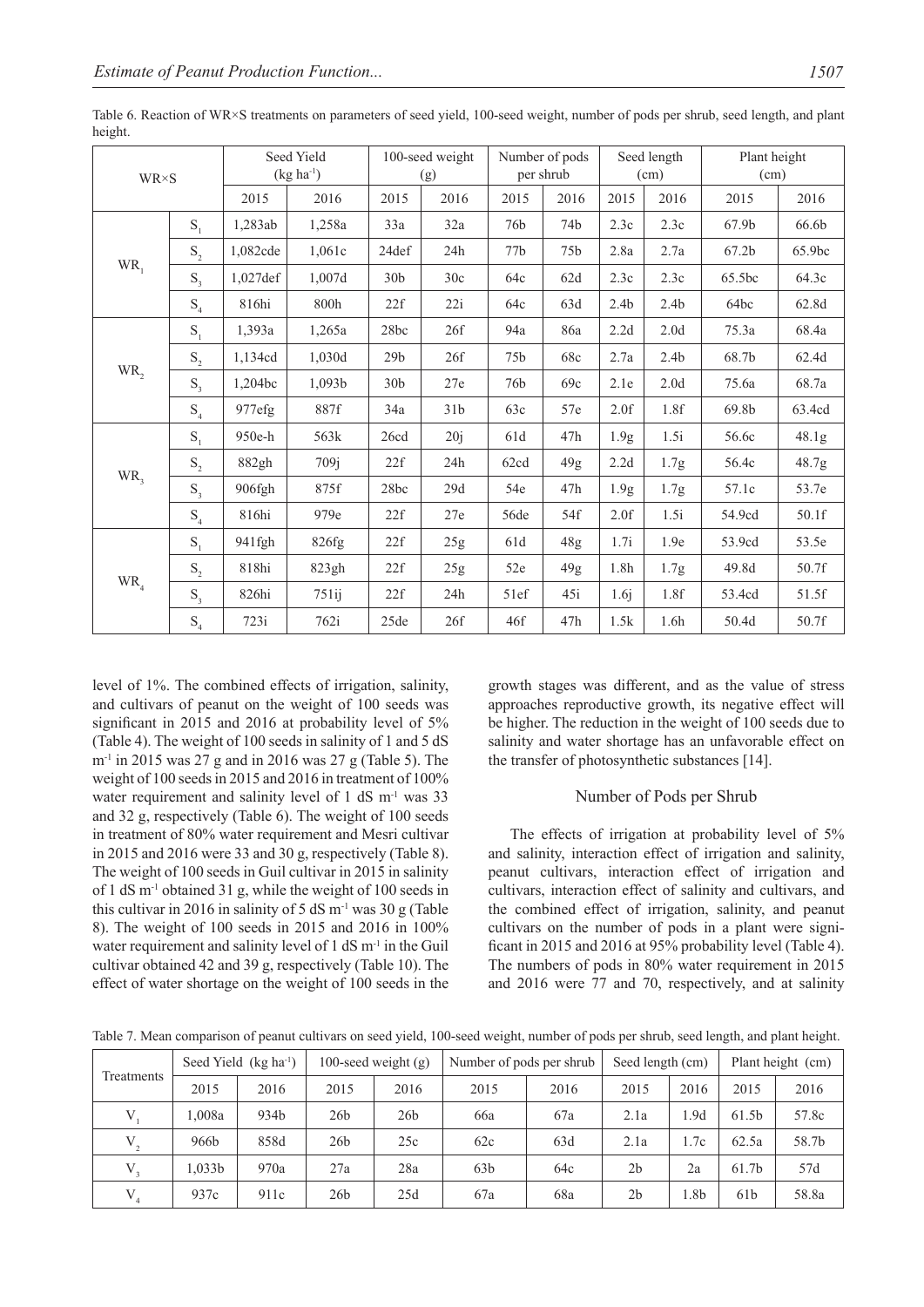| $WR \times S$ |                                      |          | Seed Yield<br>$(kg ha^{-1})$ |                 | 100-seed weight<br>(g) | Number of pods<br>per shrub |                 | Seed length<br>(cm) |                  | Plant height<br>(cm) |        |
|---------------|--------------------------------------|----------|------------------------------|-----------------|------------------------|-----------------------------|-----------------|---------------------|------------------|----------------------|--------|
|               |                                      | 2015     | 2016                         | 2015            | 2016                   | 2015                        | 2016            | 2015                | 2016             | 2015                 | 2016   |
|               | $S_1$                                | 1,283ab  | 1,258a                       | 33a             | 32a                    | 76b                         | 74b             | 2.3c                | 2.3c             | 67.9 <sub>b</sub>    | 66.6b  |
|               | $S_2$                                | 1,082cde | 1,061c                       | 24def           | 24h                    | 77b                         | 75 <sub>b</sub> | 2.8a                | 2.7a             | 67.2 <sub>b</sub>    | 65.9bc |
| $WR_{1}$      | $S_3$                                | 1,027def | 1,007d                       | 30 <sub>b</sub> | 30c                    | 64c                         | 62d             | 2.3c                | 2.3c             | 65.5bc               | 64.3c  |
|               | $\mathbf{S}_4$                       | 816hi    | 800h                         | 22f             | 22i                    | 64c                         | 63d             | 2.4 <sub>b</sub>    | 2.4 <sub>b</sub> | 64bc                 | 62.8d  |
|               | $S_1$                                | 1,393a   | 1,265a                       | 28bc            | 26f                    | 94a                         | 86a             | $2.2d$              | 2.0 <sub>d</sub> | 75.3a                | 68.4a  |
|               | $\mathbf{S}_{\scriptscriptstyle{2}}$ | 1,134cd  | 1,030d                       | 29 <sub>b</sub> | 26f                    | 75 <sub>b</sub>             | 68c             | 2.7a                | 2.4 <sub>b</sub> | 68.7b                | 62.4d  |
| WR,           | $S_{3}$                              | 1.204bc  | 1,093b                       | 30 <sub>b</sub> | 27e                    | 76b                         | 69c             | 2.1e                | 2.0 <sub>d</sub> | 75.6a                | 68.7a  |
|               | $\mathbf{S}_4$                       | 977efg   | 887f                         | 34a             | 31 <sub>b</sub>        | 63c                         | 57e             | 2.0f                | 1.8f             | 69.8b                | 63.4cd |
|               | $S_1$                                | 950e-h   | 563k                         | 26cd            | 20j                    | 61d                         | 47h             | 1.9g                | 1.5i             | 56.6c                | 48.1g  |
|               | $\mathbf{S}_{\scriptscriptstyle{2}}$ | 882gh    | 709j                         | 22f             | 24h                    | 62cd                        | 49g             | $2.2d$              | 1.7 <sub>g</sub> | 56.4c                | 48.7g  |
| WR,           | $S_3$                                | 906fgh   | 875f                         | 28bc            | 29d                    | 54e                         | 47h             | 1.9g                | 1.7g             | 57.1c                | 53.7e  |
|               | $\mathrm{S}_4$                       | 816hi    | 979e                         | 22f             | 27e                    | 56de                        | 54f             | 2.0f                | 1.5i             | 54.9cd               | 50.1f  |
|               | $S_1$                                | 941fgh   | 826fg                        | 22f             | 25g                    | 61d                         | 48g             | 1.7i                | 1.9e             | 53.9cd               | 53.5e  |
|               | $\mathbf{S}_{\scriptscriptstyle{2}}$ | 818hi    | 823gh                        | 22f             | 25g                    | 52e                         | 49g             | 1.8h                | 1.7 <sub>g</sub> | 49.8d                | 50.7f  |
| $WR_{4}$      | $S_{3}$                              | 826hi    | 751ij                        | 22f             | 24h                    | 51ef                        | 45i             | 1.6j                | 1.8f             | 53.4cd               | 51.5f  |
|               | S <sub>4</sub>                       | 723i     | 762i                         | 25de            | 26f                    | 46f                         | 47h             | 1.5k                | 1.6h             | 50.4d                | 50.7f  |

Table 6. Reaction of WR×S treatments on parameters of seed yield, 100-seed weight, number of pods per shrub, seed length, and plant height.

level of 1%. The combined effects of irrigation, salinity, and cultivars of peanut on the weight of 100 seeds was significant in 2015 and 2016 at probability level of  $5\%$ (Table 4). The weight of 100 seeds in salinity of 1 and 5 dS  $m<sup>-1</sup>$  in 2015 was 27 g and in 2016 was 27 g (Table 5). The weight of 100 seeds in 2015 and 2016 in treatment of 100% water requirement and salinity level of 1 dS  $m<sup>-1</sup>$  was 33 and 32 g, respectively (Table 6). The weight of 100 seeds in treatment of 80% water requirement and Mesri cultivar in 2015 and 2016 were 33 and 30 g, respectively (Table 8). The weight of 100 seeds in Guil cultivar in 2015 in salinity of 1 dS m-1 obtained 31 g, while the weight of 100 seeds in this cultivar in 2016 in salinity of 5 dS  $m<sup>-1</sup>$  was 30 g (Table 8). The weight of 100 seeds in 2015 and 2016 in 100% water requirement and salinity level of 1 dS m<sup>-1</sup> in the Guil cultivar obtained 42 and 39 g, respectively (Table 10). The effect of water shortage on the weight of 100 seeds in the

growth stages was different, and as the value of stress approaches reproductive growth, its negative effect will be higher. The reduction in the weight of 100 seeds due to salinity and water shortage has an unfavorable effect on the transfer of photosynthetic substances [14].

## Number of Pods per Shrub

The effects of irrigation at probability level of 5% and salinity, interaction effect of irrigation and salinity, peanut cultivars, interaction effect of irrigation and cultivars, interaction effect of salinity and cultivars, and the combined effect of irrigation, salinity, and peanut cultivars on the number of pods in a plant were significant in 2015 and 2016 at 95% probability level (Table 4). The numbers of pods in 80% water requirement in 2015 and 2016 were 77 and 70, respectively, and at salinity

Table 7. Mean comparison of peanut cultivars on seed yield, 100-seed weight, number of pods per shrub, seed length, and plant height.

| Treatments |                    | Seed Yield $(kg ha-1)$ |                 | 100-seed weight $(g)$ |                 | Number of pods per shrub | Seed length (cm) |      |                   | Plant height (cm) |
|------------|--------------------|------------------------|-----------------|-----------------------|-----------------|--------------------------|------------------|------|-------------------|-------------------|
|            | 2015               | 2016                   | 2015            | 2016                  | 2015            | 2016                     | 2015             | 2016 | 2015              | 2016              |
|            | 1.008a             | 934b                   | 26 <sub>b</sub> | 26 <sub>b</sub>       | 66a             | 67a                      | 2.1a             | .9d  | 61.5b             | 57.8c             |
| V,         | 966b               | 858d                   | 26 <sub>b</sub> | 25c                   | 62c             | 63d                      | 2.1a             | 1.7c | 62.5a             | 58.7b             |
|            | 1.033 <sub>b</sub> | 970a                   | 27a             | 28a                   | 63 <sub>b</sub> | 64c                      | 2 <sub>b</sub>   | 2a   | 61.7 <sub>b</sub> | 57d               |
| V          | 937c               | 911c                   | 26 <sub>b</sub> | 25d                   | 67a             | 68a                      | 2 <sub>b</sub>   | l.8b | 61 <sub>b</sub>   | 58.8a             |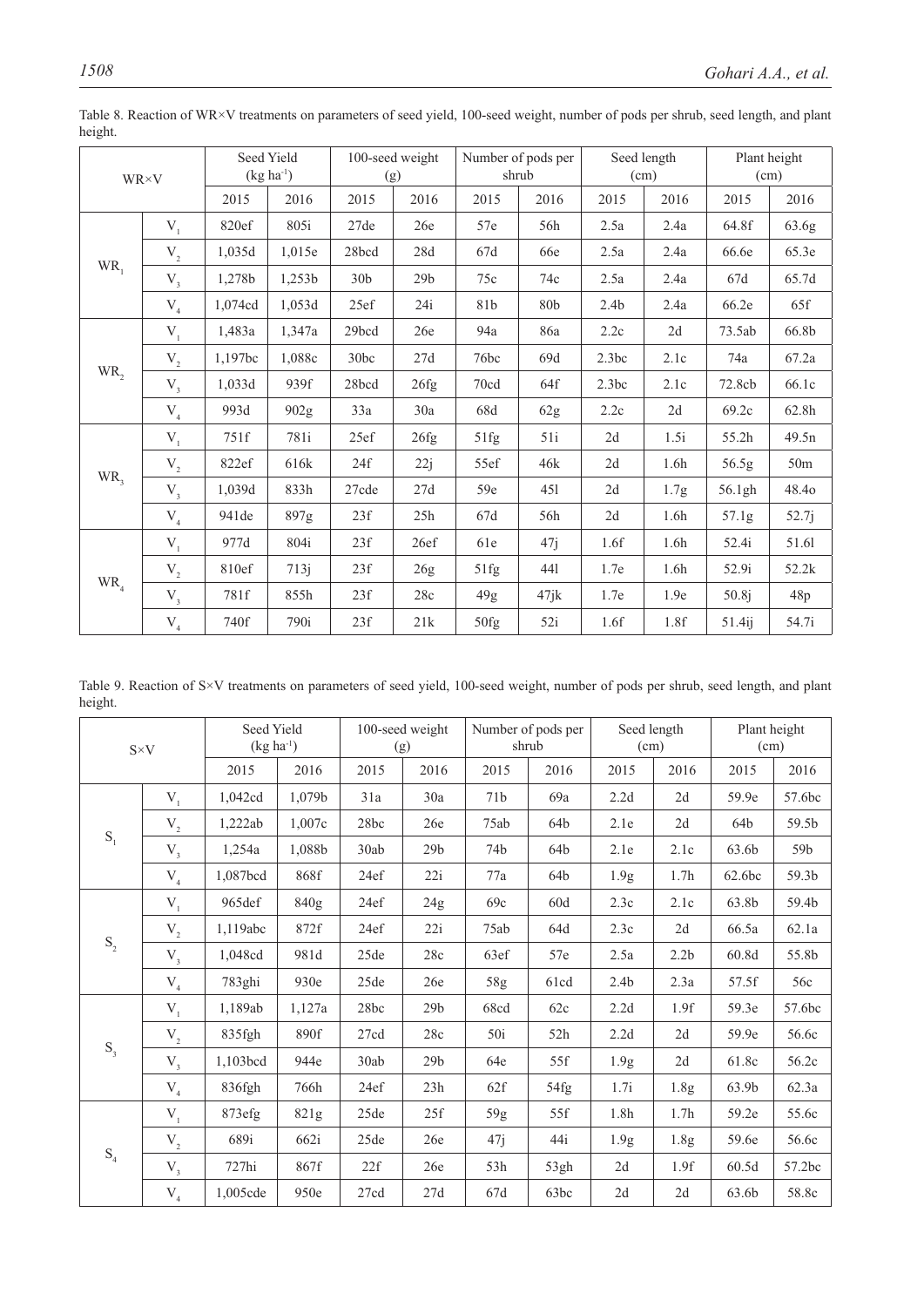|                 | Seed Yield<br>$(kg ha-1)$<br>WR×V    |         |                  | 100-seed weight<br>(g) |                 | Number of pods per<br>shrub |      | Seed length<br>(cm) |      | Plant height<br>(cm) |                 |
|-----------------|--------------------------------------|---------|------------------|------------------------|-----------------|-----------------------------|------|---------------------|------|----------------------|-----------------|
|                 |                                      | 2015    | 2016             | 2015                   | 2016            | 2015                        | 2016 | 2015                | 2016 | 2015                 | 2016            |
|                 | $V_1$                                | 820ef   | 805i             | 27de                   | 26e             | 57e                         | 56h  | 2.5a                | 2.4a | 64.8f                | 63.6g           |
|                 | $\rm V_{_2}$                         | 1,035d  | 1,015e           | 28bcd                  | 28d             | 67d                         | 66e  | 2.5a                | 2.4a | 66.6e                | 65.3e           |
| $WR_{1}$        | $V_{3}$                              | 1,278b  | 1,253b           | 30 <sub>b</sub>        | 29 <sub>b</sub> | 75c                         | 74c  | 2.5a                | 2.4a | 67d                  | 65.7d           |
|                 | ${\rm V}_{_4}$                       | 1,074cd | 1,053d           | 25ef                   | 24i             | 81b                         | 80b  | 2.4 <sub>b</sub>    | 2.4a | 66.2e                | 65f             |
|                 | $V_1$                                | 1,483a  | 1,347a           | 29bcd                  | 26e             | 94a                         | 86a  | 2.2c                | 2d   | 73.5ab               | 66.8b           |
|                 | $\mathbf{V}_{_2}$                    | 1,197bc | 1,088c           | 30bc                   | 27d             | 76bc                        | 69d  | 2.3bc               | 2.1c | 74a                  | 67.2a           |
| WR <sub>2</sub> | $V_{3}$                              | 1,033d  | 939f             | 28bcd                  | 26fg            | 70cd                        | 64f  | 2.3bc               | 2.1c | 72.8cb               | 66.1c           |
|                 | ${\rm V}_{_4}$                       | 993d    | 902g             | 33a                    | 30a             | 68d                         | 62g  | 2.2c                | 2d   | 69.2c                | 62.8h           |
|                 | $V_1$                                | 751f    | 781i             | 25ef                   | 26fg            | 51fg                        | 51i  | 2d                  | 1.5i | 55.2h                | 49.5n           |
|                 | $\mathbf{V}_{_2}$                    | 822ef   | 616 <sub>k</sub> | 24f                    | 22j             | 55ef                        | 46k  | 2d                  | 1.6h | 56.5g                | 50 <sub>m</sub> |
| WR,             | $V_{3}$                              | 1,039d  | 833h             | $27cde$                | 27d             | 59e                         | 451  | 2d                  | 1.7g | 56.1gh               | 48.40           |
|                 | ${\rm V}_{_4}$                       | 941 de  | 897g             | 23f                    | 25h             | 67d                         | 56h  | 2d                  | 1.6h | 57.1g                | 52.7j           |
|                 | $V_1$                                | 977d    | 804i             | 23f                    | 26ef            | 61e                         | 47j  | 1.6f                | 1.6h | 52.4i                | 51.61           |
|                 | $\mathbf{V}_{\scriptscriptstyle{2}}$ | 810ef   | 713j             | 23f                    | 26g             | 51fg                        | 441  | 1.7e                | 1.6h | 52.9i                | 52.2k           |
| $WR_{4}$        | $V_{3}$                              | 781f    | 855h             | 23f                    | 28c             | 49g                         | 47jk | 1.7e                | 1.9e | 50.8j                | 48p             |
|                 | $\rm V_{_4}$                         | 740f    | 790i             | 23f                    | 21k             | 50fg                        | 52i  | 1.6f                | 1.8f | 51.4ij               | 54.7i           |

Table 8. Reaction of WR×V treatments on parameters of seed yield, 100-seed weight, number of pods per shrub, seed length, and plant height.

Table 9. Reaction of S×V treatments on parameters of seed yield, 100-seed weight, number of pods per shrub, seed length, and plant height.

|                                      | Seed Yield<br>$(kg ha^{-1})$<br>$S\times V$ |          |        | 100-seed weight<br>(g) | Number of pods per<br>shrub |                 | Seed length<br>(cm) |                  | Plant height<br>(cm) |        |        |
|--------------------------------------|---------------------------------------------|----------|--------|------------------------|-----------------------------|-----------------|---------------------|------------------|----------------------|--------|--------|
|                                      |                                             | 2015     | 2016   | 2015                   | 2016                        | 2015            | 2016                | 2015             | 2016                 | 2015   | 2016   |
|                                      | $V_{1}$                                     | 1,042cd  | 1,079b | 31a                    | 30a                         | 71 <sub>b</sub> | 69a                 | 2.2d             | 2d                   | 59.9e  | 57.6bc |
|                                      | $\mathbf{V}_{_2}$                           | 1,222ab  | 1,007c | 28bc                   | 26e                         | 75ab            | 64b                 | 2.1e             | 2d                   | 64b    | 59.5b  |
| $\mathbf{S}_1$                       | $V_{3}$                                     | 1,254a   | 1,088b | 30ab                   | 29 <sub>b</sub>             | 74b             | 64b                 | 2.1e             | 2.1c                 | 63.6b  | 59b    |
|                                      | $\rm V_4$                                   | 1,087bcd | 868f   | 24ef                   | 22i                         | 77a             | 64b                 | 1.9 <sub>g</sub> | 1.7 <sub>h</sub>     | 62.6bc | 59.3b  |
|                                      | $V_{1}$                                     | 965def   | 840g   | 24ef                   | 24g                         | 69c             | 60d                 | 2.3c             | 2.1c                 | 63.8b  | 59.4b  |
|                                      | $\mathbf{V}_{_2}$                           | 1,119abc | 872f   | 24ef                   | 22i                         | 75ab            | 64d                 | 2.3c             | 2d                   | 66.5a  | 62.1a  |
| $\mathbf{S}_{\scriptscriptstyle{2}}$ | $V_{3}$                                     | 1,048cd  | 981d   | 25de                   | 28c                         | 63ef            | 57e                 | 2.5a             | 2.2 <sub>b</sub>     | 60.8d  | 55.8b  |
|                                      | $V_{4}$                                     | 783ghi   | 930e   | 25de                   | 26e                         | $58\mathrm{g}$  | 61cd                | 2.4 <sub>b</sub> | 2.3a                 | 57.5f  | 56c    |
|                                      | $V_{1}$                                     | 1,189ab  | 1,127a | 28bc                   | 29 <sub>b</sub>             | 68cd            | 62c                 | 2.2d             | 1.9f                 | 59.3e  | 57.6bc |
|                                      | $\mathbf{V}_{_2}$                           | 835fgh   | 890f   | 27cd                   | 28c                         | 50i             | 52h                 | 2.2d             | 2d                   | 59.9e  | 56.6c  |
| $S_3$                                | $V_{3}$                                     | 1,103bcd | 944e   | 30ab                   | 29 <sub>b</sub>             | 64e             | 55f                 | 1.9 <sub>g</sub> | 2d                   | 61.8c  | 56.2c  |
|                                      | $\rm V_{_4}$                                | 836fgh   | 766h   | 24ef                   | 23h                         | 62f             | 54fg                | 1.7i             | 1.8g                 | 63.9b  | 62.3a  |
|                                      | $V_{1}$                                     | 873efg   | 821g   | 25de                   | 25f                         | 59g             | 55f                 | 1.8h             | 1.7 <sub>h</sub>     | 59.2e  | 55.6c  |
|                                      | $\rm V_{_2}$                                | 689i     | 662i   | 25de                   | 26e                         | 47j             | 44i                 | 1.9 <sub>g</sub> | 1.8 <sub>g</sub>     | 59.6e  | 56.6c  |
| $\mathrm{S}_4$                       | $V_{3}$                                     | $727$ hi | 867f   | 22f                    | 26e                         | 53h             | 53gh                | 2d               | 1.9f                 | 60.5d  | 57.2bc |
|                                      | $\rm V_{_4}$                                | 1,005cde | 950e   | 27cd                   | 27d                         | 67d             | 63bc                | 2d               | 2d                   | 63.6b  | 58.8c  |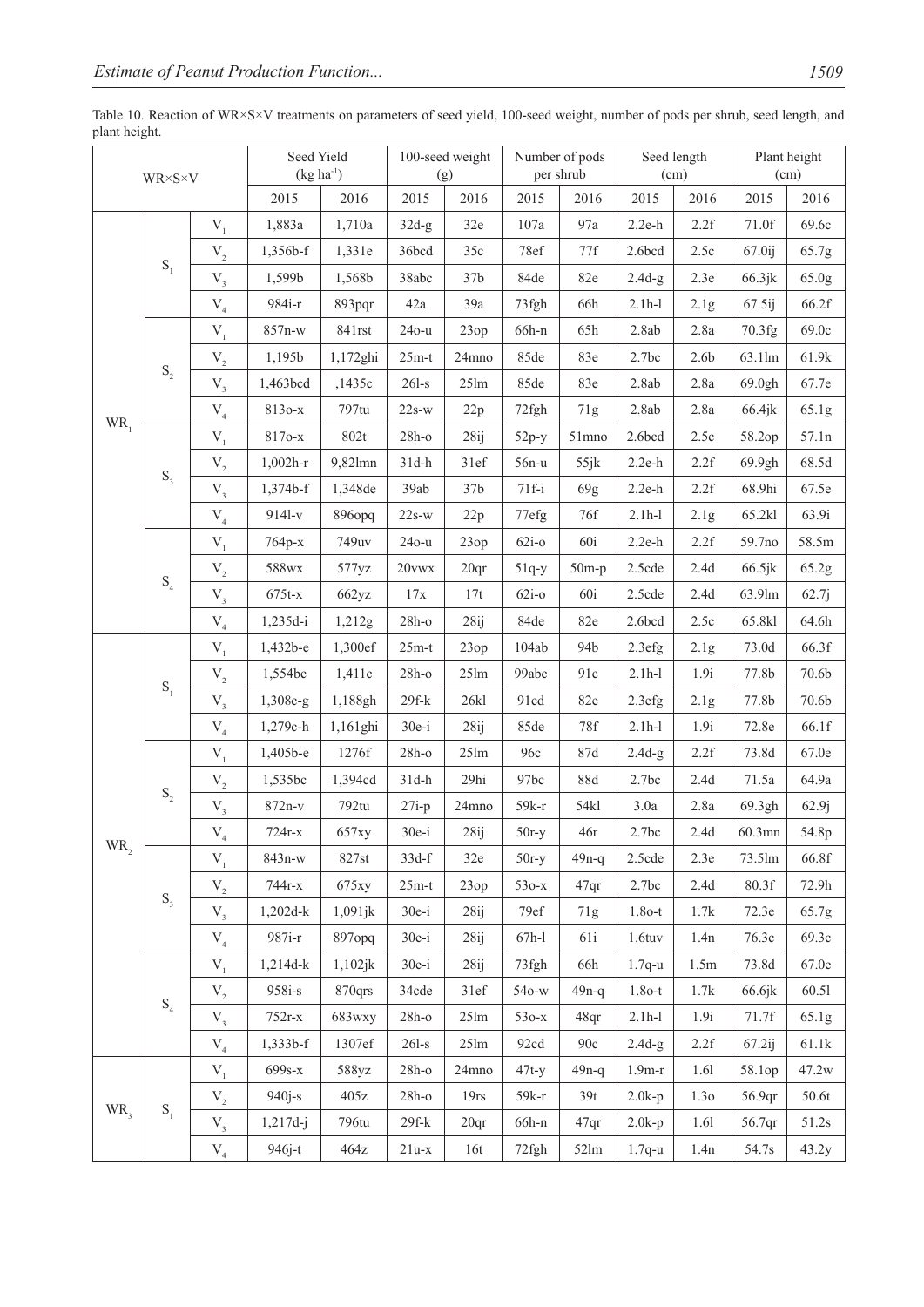|          | $\text{WR}{\times}\text{S}{\times}\text{V}$ |                     | Seed Yield<br>$(kg ha-1)$ |                 |           | 100-seed weight<br>(g) |         | Number of pods<br>per shrub |          | Seed length<br>(cm) |        | Plant height<br>(cm) |
|----------|---------------------------------------------|---------------------|---------------------------|-----------------|-----------|------------------------|---------|-----------------------------|----------|---------------------|--------|----------------------|
|          |                                             |                     | 2015                      | 2016            | 2015      | 2016                   | 2015    | 2016                        | 2015     | 2016                | 2015   | 2016                 |
|          |                                             | $V_1$               | 1,883a                    | 1,710a          | $32d-g$   | 32e                    | 107a    | 97a                         | $2.2e-h$ | 2.2f                | 71.0f  | 69.6c                |
|          |                                             | $\mathbf{V}_{_2}$   | 1,356b-f                  | 1,331e          | 36bcd     | 35c                    | 78ef    | 77f                         | 2.6bcd   | 2.5c                | 67.0ij | 65.7g                |
|          | $\mathbf{S}_1$                              | $V_{3}$             | 1,599b                    | 1,568b          | 38abc     | 37 <sub>b</sub>        | 84de    | 82e                         | $2.4d-g$ | 2.3e                | 66.3jk | 65.0g                |
|          |                                             | $\rm V_{_4}$        | 984i-r                    | 893pqr          | 42a       | 39a                    | 73fgh   | 66h                         | $2.1h-1$ | 2.1g                | 67.5ij | 66.2f                |
|          |                                             | $\mathbf{V}_{_{1}}$ | 857n-w                    | 841rst          | $240 - u$ | 23op                   | 66h-n   | 65h                         | 2.8ab    | 2.8a                | 70.3fg | 69.0c                |
|          |                                             | $\mathbf{V}_{_2}$   | 1,195b                    | 1,172ghi        | $25m-t$   | 24mno                  | 85de    | 83e                         | 2.7bc    | 2.6 <sub>b</sub>    | 63.1lm | 61.9k                |
|          | $\mathbf{S}_{\scriptscriptstyle{2}}$        | $V_{3}$             | 1,463bcd                  | ,1435c          | $26l-s$   | $25 \text{lm}$         | 85de    | 83e                         | 2.8ab    | 2.8a                | 69.0gh | 67.7e                |
| $WR_{1}$ |                                             | $\rm V_{_4}$        | 813o-x                    | 797tu           | $22s-w$   | 22p                    | 72fgh   | 71g                         | 2.8ab    | 2.8a                | 66.4jk | 65.1g                |
|          |                                             | $\mathbf{V}_{_{1}}$ | 8170-x                    | 802t            | $28h-o$   | 28 <sub>ij</sub>       | $52p-y$ | 51mno                       | 2.6bcd   | 2.5c                | 58.2op | 57.1n                |
|          | $S_3$                                       | $\rm V_{_2}$        | $1,002h-r$                | 9,82lmn         | $31d-h$   | 31ef                   | $56n-u$ | 55jk                        | $2.2e-h$ | 2.2f                | 69.9gh | 68.5d                |
|          |                                             | $\rm V_{_3}$        | 1,374b-f                  | 1,348de         | 39ab      | 37 <sub>b</sub>        | $71f-i$ | 69g                         | $2.2e-h$ | 2.2f                | 68.9hi | 67.5e                |
|          |                                             | $\rm V_4$           | 9141-v                    | 896opq          | $22s-w$   | 22p                    | 77efg   | 76f                         | $2.1h-1$ | 2.1g                | 65.2kl | 63.9i                |
|          |                                             | $\mathbf{V}_{_{1}}$ | $764p-x$                  | 749uv           | $240 - u$ | 23op                   | $62i-o$ | 60i                         | $2.2e-h$ | 2.2f                | 59.7no | 58.5m                |
|          | $\mathrm{S}_4$                              | $\mathbf{V}_{_2}$   | 588wx                     | 577yz           | $20$ vwx  | 20qr                   | $51q-y$ | $50m-p$                     | 2.5cde   | $2.4\mathrm{d}$     | 66.5jk | 65.2g                |
|          |                                             | $V_{3}$             | $675t-x$                  | 662yz           | 17x       | 17t                    | $62i-o$ | 60i                         | 2.5cde   | 2.4d                | 63.9lm | 62.7j                |
|          |                                             | $\rm V_4$           | 1,235d-i                  | 1,212g          | $28h-o$   | 28 <sub>ij</sub>       | 84de    | 82e                         | 2.6bcd   | 2.5c                | 65.8kl | 64.6h                |
|          |                                             | $\mathbf{V}_{_{1}}$ | 1,432b-e                  | 1,300ef         | $25m-t$   | 23op                   | 104ab   | 94b                         | 2.3efg   | 2.1g                | 73.0d  | 66.3f                |
|          | $\mathbf{S}_1$                              | $\mathbf{V}_{_2}$   | 1,554bc                   | 1,411c          | $28h-o$   | 25 <sub>lm</sub>       | 99abc   | 91c                         | $2.1h-1$ | 1.9i                | 77.8b  | 70.6b                |
|          |                                             | $V_{3}$             | 1,308c-g                  | 1,188gh         | $29f-k$   | 26k1                   | 91cd    | 82e                         | 2.3efg   | 2.1g                | 77.8b  | 70.6b                |
|          |                                             | $\rm V_4$           | 1,279c-h                  | 1,161ghi        | $30e-i$   | 28 <sub>ij</sub>       | 85de    | 78f                         | $2.1h-1$ | 1.9i                | 72.8e  | 66.1f                |
|          |                                             | $V_1$               | 1,405b-e                  | 1276f           | $28h-o$   | $25 \text{lm}$         | 96c     | 87d                         | $2.4d-g$ | 2.2f                | 73.8d  | 67.0e                |
|          | $\mathbf{S}_2$                              | $\mathbf{V}_{_2}$   | 1,535bc                   | 1,394cd         | $31d-h$   | 29hi                   | 97bc    | <b>88d</b>                  | 2.7bc    | 2.4d                | 71.5a  | 64.9a                |
|          |                                             | $\rm V_{_3}$        | $872n-v$                  | 792tu           | $27i-p$   | 24mno                  | $59k-r$ | 54kl                        | 3.0a     | 2.8a                | 69.3gh | 62.9j                |
| $WR_{2}$ |                                             | $\rm V_{_4}$        | $724r-x$                  | 657xy           | $30e-i$   | 28 <sub>ij</sub>       | $50r-y$ | 46r                         | 2.7bc    | 2.4d                | 60.3mn | 54.8p                |
|          |                                             | $\mathbf{V}_{_{1}}$ | 843n-w                    | 827st           | $33d-f$   | 32e                    | $50r-y$ | $49n-q$                     | 2.5cde   | 2.3e                | 73.5lm | 66.8f                |
|          | $S_3$                                       | $\mathbf{V}_{_2}$   | 744r-x                    | 675xy           | $25m-t$   | 23op                   | $530-x$ | 47qr                        | 2.7bc    | $2.4\mathrm{d}$     | 80.3f  | 72.9h                |
|          |                                             | $V_{3}$             | 1,202d-k                  | 1,091jk         | $30e-i$   | 28 <sub>ij</sub>       | 79ef    | 71g                         | $1.8o-t$ | 1.7k                | 72.3e  | 65.7g                |
|          |                                             | $V_4$               | 987 <sub>i-r</sub>        | 897opq          | $30e-i$   | 28ij                   | $67h-1$ | 61i                         | 1.6tuv   | 1.4n                | 76.3c  | 69.3c                |
|          |                                             | $\mathbf{V}_{_{1}}$ | 1,214d-k                  | 1,102jk         | $30e-i$   | 28 <sub>ij</sub>       | 73fgh   | 66h                         | $1.7q-u$ | 1.5m                | 73.8d  | 67.0e                |
|          | $\mathrm{S}_4$                              | $V_{2}$             | $958i-s$                  | 870qrs          | 34cde     | 31ef                   | 540-w   | $49n-q$                     | $1.8o-t$ | 1.7k                | 66.6jk | 60.51                |
|          |                                             | $V_{3}$             | $752r-x$                  | 683wxy          | $28h-o$   | $25 \text{lm}$         | $530-x$ | 48qr                        | $2.1h-1$ | 1.9i                | 71.7f  | 65.1g                |
|          |                                             | $\rm V_4$           | $1,333b-f$                | 1307ef          | $26l-s$   | $25 \text{lm}$         | 92cd    | 90c                         | $2.4d-g$ | 2.2f                | 67.2ij | 61.1k                |
|          |                                             | $\mathbf{V}_{_{1}}$ | $699s-x$                  | 588yz           | $28h-o$   | 24mno                  | $47t-y$ | $49n-q$                     | $1.9m-r$ | 1.61                | 58.1op | 47.2w                |
| WR,      | $\mathbf{S}_1$                              | $\rm V_{_2}$        | $940j-s$                  | $405z$          | $28h-o$   | 19rs                   | 59k-r   | 39t                         | $2.0k-p$ | 1.3 <sub>0</sub>    | 56.9qr | 50.6t                |
|          |                                             | $V_{3}$             | $1,217d-j$                | 796tu           | $29f-k$   | 20qr                   | 66h-n   | 47qr                        | $2.0k-p$ | 1.61                | 56.7qr | 51.2s                |
|          |                                             | $\rm V_{_4}$        | $946j-t$                  | $464\mathrm{z}$ | $21u-x$   | 16t                    | 72fgh   | $52\text{lm}$               | $1.7q-u$ | 1.4n                | 54.7s  | 43.2y                |

Table 10. Reaction of WR×S×V treatments on parameters of seed yield, 100-seed weight, number of pods per shrub, seed length, and plant height.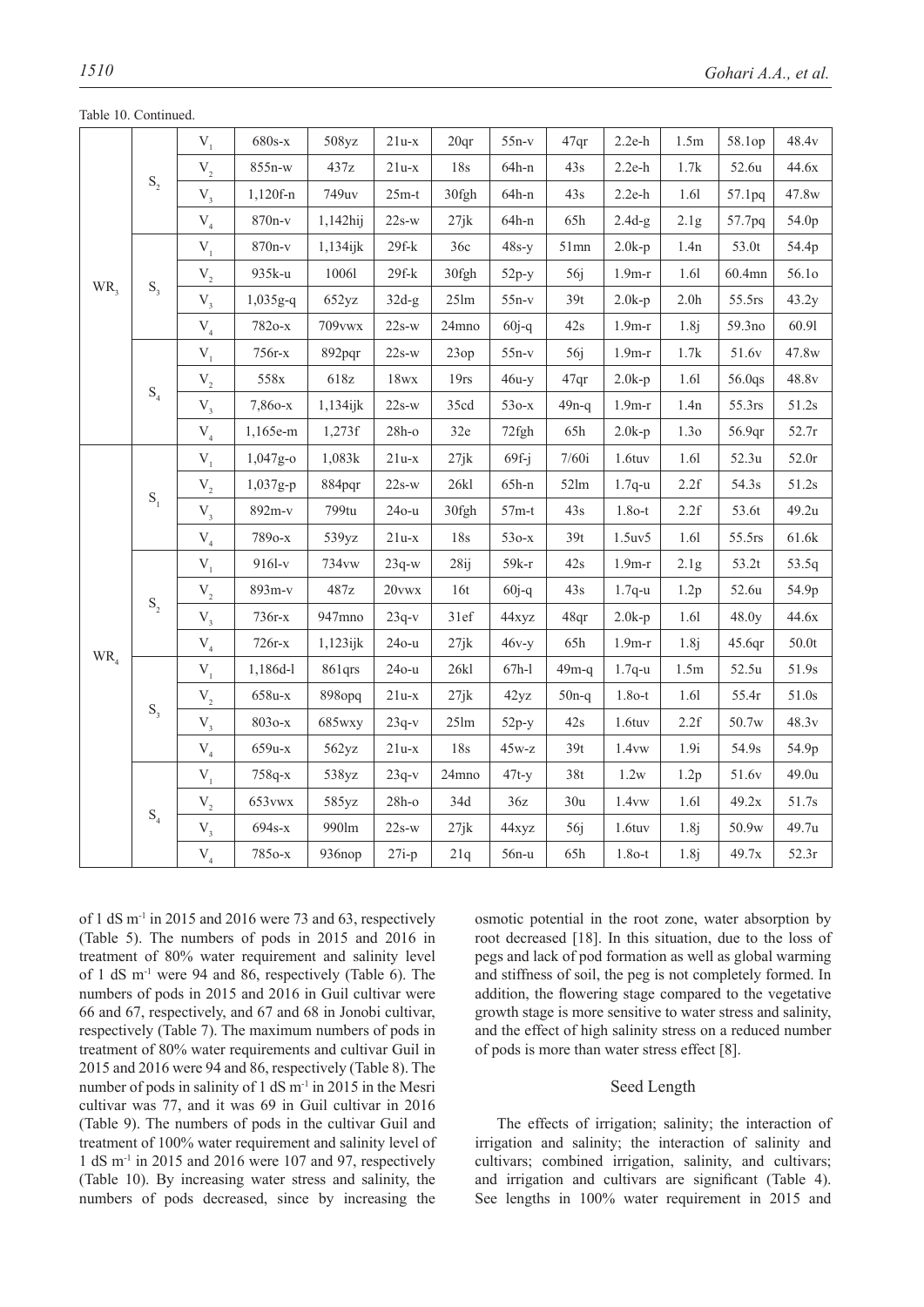|                   |                                      | $\mathbf{V}_{_{1}}$ | $680s-x$        | 508yz       | $21u-x$     | 20qr             | $55n-v$   | 47qr          | $2.2e-h$  | 1.5m             | 58.1op | 48.4v            |
|-------------------|--------------------------------------|---------------------|-----------------|-------------|-------------|------------------|-----------|---------------|-----------|------------------|--------|------------------|
|                   |                                      | $\mathbf{V}_{_2}$   | 855n-w          | 437z        | $21u-x$     | 18s              | $64h-n$   | 43s           | $2.2e-h$  | 1.7k             | 52.6u  | 44.6x            |
|                   | $\mathbf{S}_{\scriptscriptstyle{2}}$ | $\rm V_{_3}$        | $1,120f-n$      | 749uv       | $25m-t$     | 30fgh            | $64h-n$   | 43s           | $2.2e-h$  | 1.61             | 57.1pq | 47.8w            |
|                   |                                      | $\rm V_{_4}$        | 870n-v          | 1,142hij    | $22s-w$     | 27jk             | $64h-n$   | 65h           | $2.4d-g$  | 2.1g             | 57.7pq | 54.0p            |
|                   |                                      | $\mathbf{V}_{_{1}}$ | 870n-v          | $1,134$ ijk | $29f-k$     | 36c              | $48s-y$   | $51$ mn       | $2.0k-p$  | 1.4n             | 53.0t  | 54.4p            |
|                   |                                      | $\mathbf{V}_{_2}$   | 935k-u          | 10061       | $29f-k$     | 30fgh            | $52p-y$   | 56j           | $1.9m-r$  | 1.61             | 60.4mn | 56.10            |
| $WR$ <sub>3</sub> | $\mathbf{S}_{_3}$                    | $V_{3}$             | 1,035g-q        | 652yz       | $32d-g$     | $25 \text{lm}$   | $55n-v$   | 39t           | $2.0k-p$  | 2.0 <sub>h</sub> | 55.5rs | 43.2y            |
|                   |                                      | $\rm V_{_4}$        | 7820-х          | 709vwx      | $22s-w$     | 24mno            | $60j-q$   | 42s           | $1.9m-r$  | 1.8j             | 59.3no | 60.91            |
|                   |                                      | $\mathbf{V}_{_{1}}$ | 756r-x          | 892pqr      | $22s-w$     | 23op             | $55n-v$   | 56j           | $1.9m-r$  | 1.7k             | 51.6v  | 47.8w            |
|                   |                                      | $\mathbf{V}_{_2}$   | $558\mathrm{x}$ | 618z        | $18\rm{wx}$ | 19rs             | $46u-y$   | 47qr          | $2.0k-p$  | 1.61             | 56.0qs | 48.8v            |
|                   | $\mathrm{S}_4$                       | $\rm V_{_3}$        | 7,860-х         | 1,134ijk    | $22s-w$     | 35cd             | $530-x$   | $49n-q$       | $1.9m-r$  | 1.4n             | 55.3rs | 51.2s            |
|                   |                                      | $\rm V_{_4}$        | 1,165e-m        | 1,273f      | $28h-o$     | 32e              | 72fgh     | 65h           | $2.0k-p$  | 1.30             | 56.9qr | 52.7r            |
|                   |                                      | $\mathbf{V}_{_{1}}$ | 1,047g-o        | 1,083k      | $21u-x$     | 27jk             | $69f - j$ | 7/60i         | $1.6$ tuv | 1.61             | 52.3u  | 52.0r            |
|                   |                                      | $\mathbf{V}_{_2}$   | 1,037g-p        | 884pqr      | $22s-w$     | 26k              | $65h-n$   | $52\text{lm}$ | $1.7q-u$  | 2.2f             | 54.3s  | 51.2s            |
|                   | $\mathbf{S}_1$                       | $\rm V_{_3}$        | 892m-v          | 799tu       | $240 - u$   | 30fgh            | $57m-t$   | 43s           | $1.8o-t$  | 2.2f             | 53.6t  | 49.2u            |
|                   |                                      | $\rm V_{_4}$        | 7890-х          | 539yz       | $21u-x$     | 18s              | $530-x$   | 39t           | 1.5uv5    | 1.61             | 55.5rs | $61.6\mathrm{k}$ |
|                   |                                      | $V_1$               | 9161-v          | 734vw       | $23q-w$     | 28 <sub>ij</sub> | $59k-r$   | 42s           | $1.9m-r$  | 2.1g             | 53.2t  | 53.5q            |
|                   |                                      | $\mathbf{V}_{_2}$   | 893m-v          | 487z        | $20$ vwx    | 16t              | $60j-q$   | 43s           | $1.7q-u$  | 1.2p             | 52.6u  | 54.9p            |
|                   | $\mathbf{S}_{\scriptscriptstyle{2}}$ | $\rm V_{_3}$        | $736r-x$        | 947mno      | $23q-v$     | 31ef             | 44xyz     | 48qr          | $2.0k-p$  | 1.61             | 48.0y  | 44.6x            |
| $WR_{4}$          |                                      | ${\rm V}^{}_4$      | $726r-x$        | $1,123$ ijk | $240 - u$   | 27jk             | $46v-y$   | 65h           | $1.9m-r$  | 1.8j             | 45.6qr | 50.0t            |
|                   |                                      | $\mathbf{V}_{_{1}}$ | 1,186d-l        | 861qrs      | $240 - u$   | 26k1             | $67h-1$   | $49m-q$       | $1.7q-u$  | 1.5m             | 52.5u  | 51.9s            |
|                   |                                      | $\mathbf{V}_{_2}$   | 658u-x          | 898opq      | $21u-x$     | 27jk             | 42yz      | $50n-q$       | $1.8o-t$  | 1.61             | 55.4r  | 51.0s            |
|                   | $S_3$                                | $\rm V_{_3}$        | $8030 - x$      | 685wxy      | $23q-v$     | 25 <sub>lm</sub> | $52p-y$   | 42s           | $1.6$ tuv | 2.2f             | 50.7w  | 48.3v            |
|                   |                                      | $\rm V_{_4}$        | 659u-x          | 562yz       | $21u-x$     | 18s              | $45w-z$   | 39t           | 1.4vw     | 1.9i             | 54.9s  | 54.9p            |
|                   |                                      | $V_1$               | 758q-x          | 538yz       | $23q-v$     | 24mno            | $47t-y$   | 38t           | 1.2w      | 1.2p             | 51.6v  | 49.0u            |
|                   |                                      | $\mathbf{V}_{_2}$   | 653vwx          | 585yz       | $28h-o$     | 34d              | 36z       | 30u           | 1.4vw     | 1.61             | 49.2x  | 51.7s            |
|                   | $\mathrm{S}_4$                       | $\rm V_{_3}$        | 694s-x          | 990lm       | $22s-w$     | 27jk             | 44xyz     | 56j           | 1.6tuv    | 1.8j             | 50.9w  | 49.7u            |
|                   |                                      | $\rm V_{_4}$        | 7850-х          | 936nop      | $27i-p$     | 21q              | $56n-u$   | 65h           | $1.8o-t$  | 1.8j             | 49.7x  | 52.3r            |

Table 10. Continued.

of 1 dS  $m<sup>-1</sup>$  in 2015 and 2016 were 73 and 63, respectively (Table 5). The numbers of pods in 2015 and 2016 in treatment of 80% water requirement and salinity level of 1 dS m-1 were 94 and 86, respectively (Table 6). The numbers of pods in 2015 and 2016 in Guil cultivar were 66 and 67, respectively, and 67 and 68 in Jonobi cultivar, respectively (Table 7). The maximum numbers of pods in treatment of 80% water requirements and cultivar Guil in 2015 and 2016 were 94 and 86, respectively (Table 8). The number of pods in salinity of 1 dS m<sup>-1</sup> in 2015 in the Mesri cultivar was 77, and it was 69 in Guil cultivar in 2016 (Table 9). The numbers of pods in the cultivar Guil and treatment of 100% water requirement and salinity level of 1 dS m-1 in 2015 and 2016 were 107 and 97, respectively (Table 10). By increasing water stress and salinity, the numbers of pods decreased, since by increasing the

osmotic potential in the root zone, water absorption by root decreased [18]. In this situation, due to the loss of pegs and lack of pod formation as well as global warming and stiffness of soil, the peg is not completely formed. In addition, the flowering stage compared to the vegetative growth stage is more sensitive to water stress and salinity, and the effect of high salinity stress on a reduced number of pods is more than water stress effect [8].

# Seed Length

The effects of irrigation; salinity; the interaction of irrigation and salinity; the interaction of salinity and cultivars; combined irrigation, salinity, and cultivars; and irrigation and cultivars are significant (Table 4). See lengths in 100% water requirement in 2015 and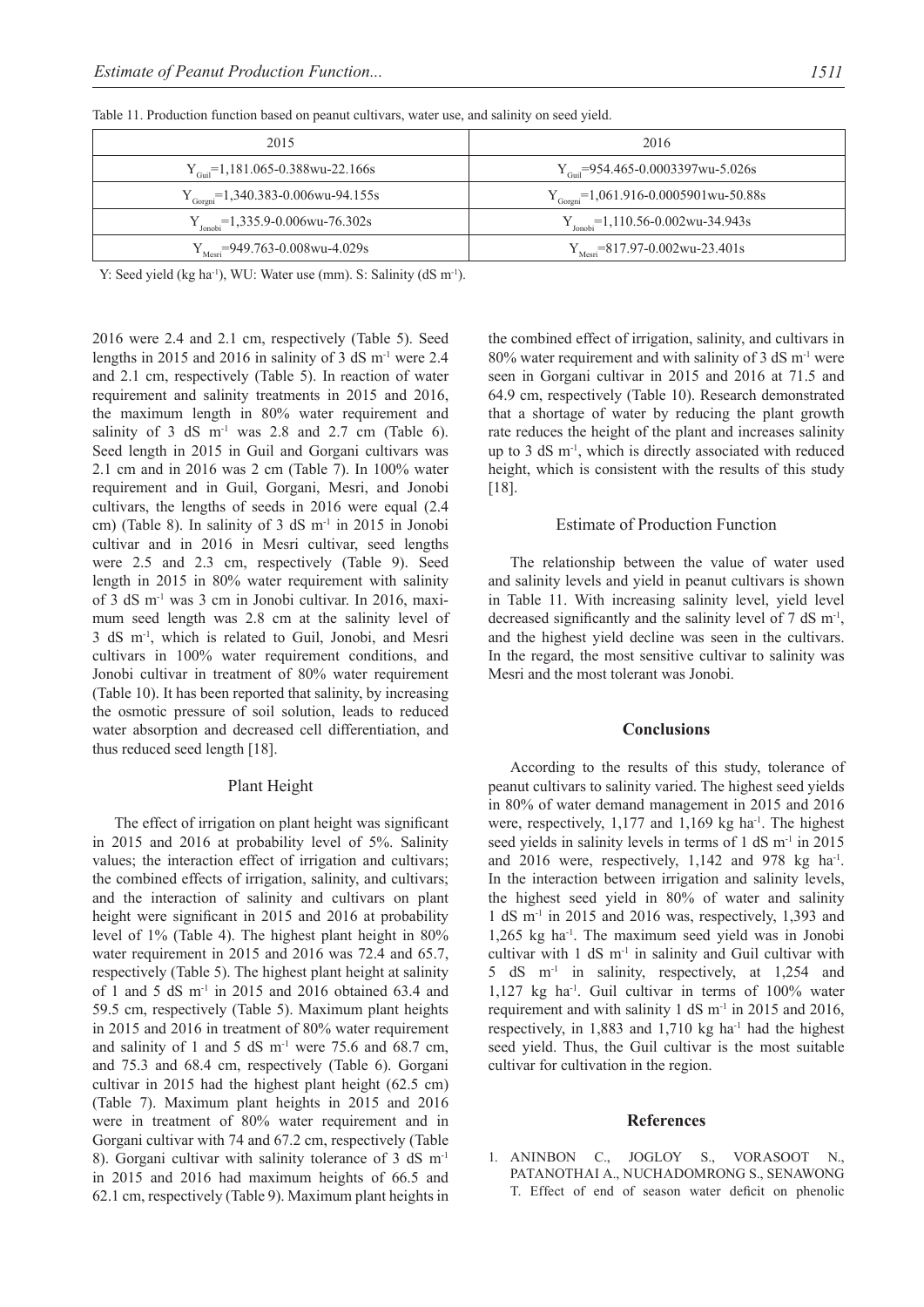| 2015                                         | 2016                                                               |
|----------------------------------------------|--------------------------------------------------------------------|
| $Y_{\text{Coul}}$ =1,181.065-0.388wu-22.166s | $Y_{\text{cool}}$ =954.465-0.0003397wu-5.026s                      |
| $Y_{Gorgni}$ =1,340.383-0.006wu-94.155s      | $Y_{Goreni}$ =1,061.916-0.0005901wu-50.88s                         |
| $Y_{Jonobi} = 1,335.9 - 0.006wu - 76.302s$   | $Y_{\text{ionobi}} = 1,110.56 - 0.002 \text{wu} - 34.943 \text{s}$ |
| $Y_{\text{Mesri}}$ =949.763-0.008wu-4.029s   | $Y_{\text{Mesri}}$ = 817.97-0.002 wu-23.401s                       |

Table 11. Production function based on peanut cultivars, water use, and salinity on seed yield.

Y: Seed yield (kg ha<sup>-1</sup>), WU: Water use (mm). S: Salinity (dS m<sup>-1</sup>).

2016 were 2.4 and 2.1 cm, respectively (Table 5). Seed lengths in 2015 and 2016 in salinity of 3 dS m-1 were 2.4 and 2.1 cm, respectively (Table 5). In reaction of water requirement and salinity treatments in 2015 and 2016, the maximum length in 80% water requirement and salinity of 3 dS  $m<sup>-1</sup>$  was 2.8 and 2.7 cm (Table 6). Seed length in 2015 in Guil and Gorgani cultivars was 2.1 cm and in 2016 was 2 cm (Table 7). In 100% water requirement and in Guil, Gorgani, Mesri, and Jonobi cultivars, the lengths of seeds in 2016 were equal (2.4 cm) (Table 8). In salinity of 3 dS m-1 in 2015 in Jonobi cultivar and in 2016 in Mesri cultivar, seed lengths were 2.5 and 2.3 cm, respectively (Table 9). Seed length in 2015 in 80% water requirement with salinity of 3 dS m-1 was 3 cm in Jonobi cultivar. In 2016, maximum seed length was 2.8 cm at the salinity level of 3 dS m-1, which is related to Guil, Jonobi, and Mesri cultivars in 100% water requirement conditions, and Jonobi cultivar in treatment of 80% water requirement (Table 10). It has been reported that salinity, by increasing the osmotic pressure of soil solution, leads to reduced water absorption and decreased cell differentiation, and thus reduced seed length [18].

#### Plant Height

The effect of irrigation on plant height was significant in 2015 and 2016 at probability level of 5%. Salinity values; the interaction effect of irrigation and cultivars; the combined effects of irrigation, salinity, and cultivars; and the interaction of salinity and cultivars on plant height were significant in 2015 and 2016 at probability level of 1% (Table 4). The highest plant height in 80% water requirement in 2015 and 2016 was 72.4 and 65.7, respectively (Table 5). The highest plant height at salinity of 1 and 5 dS m-1 in 2015 and 2016 obtained 63.4 and 59.5 cm, respectively (Table 5). Maximum plant heights in 2015 and 2016 in treatment of 80% water requirement and salinity of 1 and 5 dS  $m^{-1}$  were 75.6 and 68.7 cm, and 75.3 and 68.4 cm, respectively (Table 6). Gorgani cultivar in 2015 had the highest plant height (62.5 cm) (Table 7). Maximum plant heights in 2015 and 2016 were in treatment of 80% water requirement and in Gorgani cultivar with 74 and 67.2 cm, respectively (Table 8). Gorgani cultivar with salinity tolerance of 3 dS m-1 in 2015 and 2016 had maximum heights of 66.5 and 62.1 cm, respectively (Table 9). Maximum plant heights in the combined effect of irrigation, salinity, and cultivars in 80% water requirement and with salinity of 3 dS  $m<sup>-1</sup>$  were seen in Gorgani cultivar in 2015 and 2016 at 71.5 and 64.9 cm, respectively (Table 10). Research demonstrated that a shortage of water by reducing the plant growth rate reduces the height of the plant and increases salinity up to 3 dS m-1, which is directly associated with reduced height, which is consistent with the results of this study [18].

#### Estimate of Production Function

The relationship between the value of water used and salinity levels and yield in peanut cultivars is shown in Table 11. With increasing salinity level, yield level decreased significantly and the salinity level of 7 dS m<sup>-1</sup>, and the highest yield decline was seen in the cultivars. In the regard, the most sensitive cultivar to salinity was Mesri and the most tolerant was Jonobi.

#### **Conclusions**

According to the results of this study, tolerance of peanut cultivars to salinity varied. The highest seed yields in 80% of water demand management in 2015 and 2016 were, respectively,  $1,177$  and  $1,169$  kg ha<sup>-1</sup>. The highest seed yields in salinity levels in terms of 1 dS m<sup>-1</sup> in 2015 and 2016 were, respectively, 1,142 and 978 kg ha<sup>-1</sup>. In the interaction between irrigation and salinity levels, the highest seed yield in 80% of water and salinity 1 dS  $m<sup>-1</sup>$  in 2015 and 2016 was, respectively, 1,393 and  $1,265$  kg ha<sup>-1</sup>. The maximum seed yield was in Jonobi cultivar with  $1 \text{ dS } m^{-1}$  in salinity and Guil cultivar with 5 dS m-1 in salinity, respectively, at 1,254 and 1,127 kg ha-1. Guil cultivar in terms of 100% water requirement and with salinity 1 dS m-1 in 2015 and 2016, respectively, in  $1,883$  and  $1,710$  kg ha<sup>-1</sup> had the highest seed yield. Thus, the Guil cultivar is the most suitable cultivar for cultivation in the region.

#### **References**

1. ANINBON C., JOGLOY S., VORASOOT N., PATANOTHAI A., NUCHADOMRONG S., SENAWONG T. Effect of end of season water deficit on phenolic